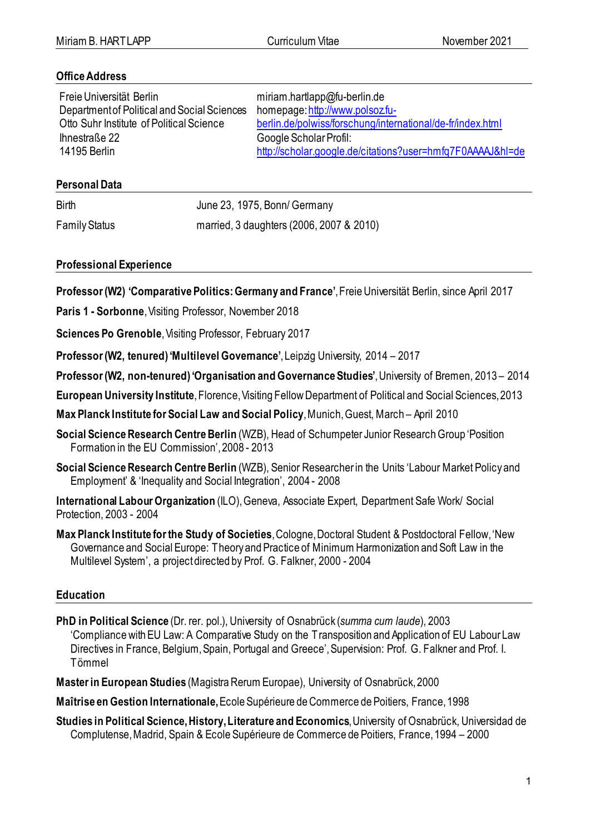### **Office Address**

Freie Universität Berlin Department of Political and Social Sciences Otto Suhr Institute of Political Science Ihnestraße 22 14195 Berlin

miriam.hartlapp@fu-berlin.de homepage[:http://www.polsoz.fu](http://www.polsoz.fu-berlin.de/polwiss/forschung/international/de-fr/index.html)[berlin.de/polwiss/forschung/international/de-fr/index.html](http://www.polsoz.fu-berlin.de/polwiss/forschung/international/de-fr/index.html) Google Scholar Profil: <http://scholar.google.de/citations?user=hmfq7F0AAAAJ&hl=de>

### **Personal Data**

Birth June 23, 1975, Bonn/ Germany

Family Status married, 3 daughters (2006, 2007 & 2010)

**Professional Experience**

**Professor(W2) 'Comparative Politics: Germany and France'**, Freie Universität Berlin, since April 2017

**Paris 1 - Sorbonne**, Visiting Professor, November 2018

**Sciences Po Grenoble**, Visiting Professor, February 2017

**Professor (W2, tenured) 'Multilevel Governance'**, Leipzig University, 2014 – 2017

**Professor (W2, non-tenured)'Organisation and Governance Studies'**, University of Bremen, 2013 – 2014

**European University Institute**, Florence, Visiting Fellow Department of Political and Social Sciences, 2013

**Max Planck Institute for Social Law and Social Policy**, Munich,Guest, March – April 2010

Social Science Research Centre Berlin (WZB), Head of Schumpeter Junior Research Group 'Position Formation in the EU Commission', 2008 - 2013

**Social Science Research Centre Berlin** (WZB), Senior Researcher in the Units 'Labour Market Policy and Employment' & 'Inequality and Social Integration', 2004 - 2008

**International Labour Organization** (ILO), Geneva, Associate Expert, Department Safe Work/ Social Protection, 2003 - 2004

**Max Planck Institute for the Study of Societies**,Cologne,Doctoral Student & Postdoctoral Fellow, 'New Governance and Social Europe: Theory and Practice of Minimum Harmonization and Soft Law in the Multilevel System', a project directed by Prof. G. Falkner, 2000 - 2004

# **Education**

**PhD in Political Science** (Dr. rer. pol.), University of Osnabrück (*summa cum laude*), 2003 'Compliance with EU Law: A Comparative Study on the Transposition and Application of EU Labour Law Directives in France, Belgium, Spain, Portugal and Greece', Supervision: Prof. G. Falkner and Prof. I. Tömmel

**Master in European Studies** (Magistra Rerum Europae), University of Osnabrück, 2000

**Maîtrise en Gestion Internationale,** Ecole Supérieure de Commerce de Poitiers, France, 1998

**Studies in Political Science, History, Literature and Economics**, University of Osnabrück, Universidad de Complutense, Madrid, Spain & Ecole Supérieure de Commerce de Poitiers, France, 1994 – 2000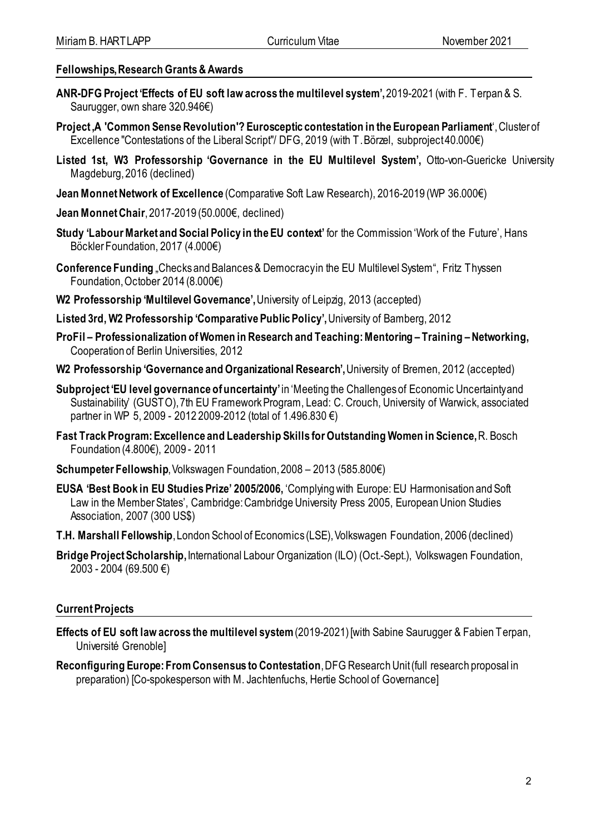### **Fellowships, Research Grants & Awards**

- **ANR-DFG Project 'Effects of EU soft law across the multilevel system',**2019-2021 (with F. Terpan & S. Saurugger, own share 320,946€)
- **Project 'A 'Common Sense Revolution'? Eurosceptic contestation in the European Parliament**', Cluster of Excellence "Contestations of the Liberal Script"/ DFG, 2019 (with T. Börzel, subproject 40.000€)
- **Listed 1st, W3 Professorship 'Governance in the EU Multilevel System',** Otto-von-Guericke University Magdeburg, 2016 (declined)
- **Jean Monnet Network of Excellence** (Comparative Soft Law Research), 2016-2019 (WP 36.000€)
- **Jean MonnetChair**, 2017-2019 (50.000€, declined)
- **Study 'Labour Market and Social Policy in the EU context'** for the Commission 'Work of the Future', Hans Böckler Foundation, 2017 (4.000€)
- **Conference Funding** "Checks and Balances & Democracy in the EU Multilevel System", Fritz Thyssen Foundation, October 2014 (8.000€)
- **W2 Professorship 'Multilevel Governance',**University of Leipzig, 2013 (accepted)
- **Listed 3rd, W2 Professorship 'Comparative Public Policy',** University of Bamberg, 2012
- **ProFil – Professionalization of Women in Research and Teaching: Mentoring – Training –Networking,**  Cooperation of Berlin Universities, 2012
- **W2 Professorship 'Governance and Organizational Research',**University of Bremen, 2012 (accepted)
- **Subproject 'EU level governance of uncertainty'** in 'Meeting the Challenges of Economic Uncertainty and Sustainability' (GUSTO), 7th EU Framework Program, Lead: C. Crouch, University of Warwick, associated partner in WP 5, 2009 - 2012 2009-2012 (total of 1.496.830 €)
- **Fast Track Program: Excellence and Leadership Skills for Outstanding Women in Science,** R. Bosch Foundation (4.800€), 2009 - 2011
- **Schumpeter Fellowship**, Volkswagen Foundation,2008 2013 (585.800€)
- **EUSA 'Best Book in EU Studies Prize' 2005/2006,** 'Complying with Europe: EU Harmonisation and Soft Law in the Member States', Cambridge: Cambridge University Press 2005, European Union Studies Association, 2007 (300 US\$)
- **T.H. Marshall Fellowship**, London School of Economics (LSE), Volkswagen Foundation, 2006 (declined)
- **Bridge Project Scholarship,**International Labour Organization (ILO) (Oct.-Sept.), Volkswagen Foundation, 2003 - 2004 (69.500 €)

# **Current Projects**

- **Effects of EU soft law across the multilevel system**(2019-2021) [with Sabine Saurugger & Fabien Terpan, Université Grenoble]
- **Reconfiguring Europe: From Consensus to Contestation**, DFG Research Unit (full research proposal in preparation) [Co-spokesperson with M. Jachtenfuchs, Hertie School of Governance]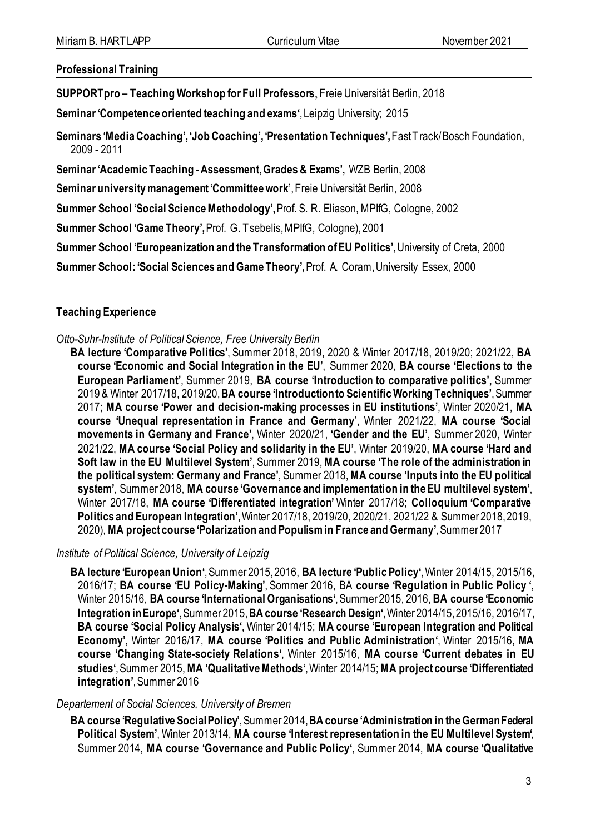**Professional Training**

**SUPPORTpro – Teaching Workshop for Full Professors**, Freie Universität Berlin, 2018

**Seminar 'Competence oriented teaching and exams'**, Leipzig University; 2015

**Seminars 'Media Coaching', 'Job Coaching', 'Presentation Techniques',** Fast Track/ Bosch Foundation, 2009 - 2011

**Seminar 'Academic Teaching -Assessment, Grades & Exams',** WZB Berlin, 2008

**Seminar university management 'Committee work**', Freie Universität Berlin, 2008

**Summer School 'Social Science Methodology',** Prof. S. R. Eliason, MPIfG, Cologne, 2002

**Summer School 'Game Theory',** Prof. G. Tsebelis, MPIfG, Cologne), 2001

**Summer School 'Europeanization and the Transformation of EU Politics'**,University of Creta, 2000

**Summer School: 'Social Sciences and Game Theory',** Prof. A. Coram, University Essex, 2000

### **Teaching Experience**

*Otto-Suhr-Institute of Political Science, Free University Berlin*

**BA lecture 'Comparative Politics'**, Summer 2018, 2019, 2020 & Winter 2017/18, 2019/20; 2021/22, **BA course 'Economic and Social Integration in the EU'**, Summer 2020, **BA course 'Elections to the European Parliament'**, Summer 2019, **BA course 'Introduction to comparative politics',** Summer 2019 & Winter 2017/18, 2019/20, **BA course 'Introduction to Scientific Working Techniques'**, Summer 2017; **MA course 'Power and decision-making processes in EU institutions'**, Winter 2020/21, **MA course 'Unequal representation in France and Germany**', Winter 2021/22, **MA course 'Social movements in Germany and France'**, Winter 2020/21, **'Gender and the EU'**, Summer 2020, Winter 2021/22, **MA course 'Social Policy and solidarity in the EU'**, Winter 2019/20, **MA course 'Hard and Soft law in the EU Multilevel System'**, Summer 2019, **MA course 'The role of the administration in the political system: Germany and France'**, Summer 2018, **MA course 'Inputs into the EU political system'**, Summer 2018, **MA course 'Governance and implementation in the EU multilevel system'**, Winter 2017/18, **MA course 'Differentiated integration'** Winter 2017/18; **Colloquium 'Comparative Politics and European Integration'**, Winter 2017/18, 2019/20, 2020/21, 2021/22 & Summer 2018, 2019, 2020), **MA project course 'Polarization and Populism in France and Germany'**,Summer 2017

*Institute of Political Science, University of Leipzig* 

**BA lecture 'European Union'**, Summer 2015, 2016, **BA lecture 'Public Policy'**, Winter 2014/15, 2015/16, 2016/17; **BA course 'EU Policy-Making'**, Sommer 2016, BA **course 'Regulation in Public Policy '**, Winter 2015/16, **BA course 'International Organisations'**, Summer 2015, 2016, **BA course 'Economic Integration in Europe'**, Summer 2015, **BA course 'Research Design'**, Winter 2014/15, 2015/16, 2016/17, **BA course 'Social Policy Analysis'**, Winter 2014/15; **MA course 'European Integration and Political Economy',** Winter 2016/17, **MA course 'Politics and Public Administration'**, Winter 2015/16, **MA course 'Changing State-society Relations'**, Winter 2015/16, **MA course 'Current debates in EU studies'**, Summer 2015,**MA 'Qualitative Methods'**, Winter 2014/15; **MA project course 'Differentiated integration'**, Summer 2016

#### *Departement of Social Sciences, University of Bremen*

**BA course 'Regulative Social Policy'**, Summer 2014, **BA course 'Administration in the German Federal Political System'**, Winter 2013/14, **MA course 'Interest representation in the EU Multilevel System'**, Summer 2014, **MA course 'Governance and Public Policy'**, Summer 2014, **MA course 'Qualitative**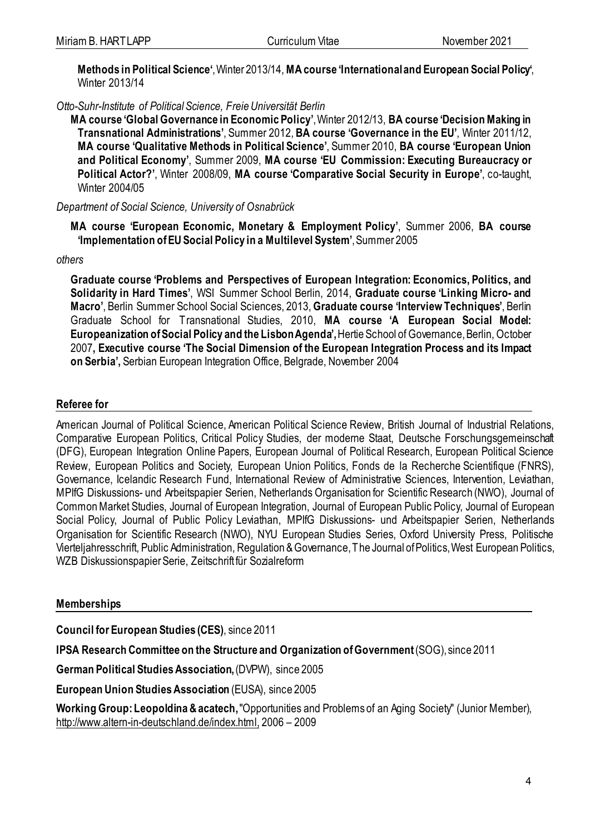**Methods in Political Science'**, Winter 2013/14, **MA course 'International and European Social Policy'**, Winter 2013/14

*Otto-Suhr-Institute of Political Science, FreieUniversität Berlin*

**MA course 'Global Governance in Economic Policy'**,Winter 2012/13, **BA course 'Decision Making in Transnational Administrations'**, Summer 2012, **BA course 'Governance in the EU'**, Winter 2011/12, **MA course 'Qualitative Methods in Political Science'**, Summer 2010, **BA course 'European Union and Political Economy'**, Summer 2009, **MA course 'EU Commission: Executing Bureaucracy or Political Actor?'**, Winter 2008/09, **MA course 'Comparative Social Security in Europe'**, co-taught, Winter 2004/05

*Department of Social Science, University of Osnabrück*

**MA course 'European Economic, Monetary & Employment Policy'**, Summer 2006, **BA course 'Implementation of EU Social Policy in a Multilevel System'**, Summer 2005

*others*

**Graduate course 'Problems and Perspectives of European Integration: Economics, Politics, and Solidarity in Hard Times'**, WSI Summer School Berlin, 2014, **Graduate course 'Linking Micro- and Macro'**, Berlin Summer School Social Sciences, 2013, **Graduate course 'Interview Techniques'**, Berlin Graduate School for Transnational Studies, 2010, **MA course 'A European Social Model: Europeanization of Social Policy and the Lisbon Agenda',** Hertie School of Governance, Berlin, October 2007**, Executive course 'The Social Dimension of the European Integration Process and its Impact on Serbia',** Serbian European Integration Office, Belgrade, November 2004

### **Referee for**

American Journal of Political Science, American Political Science Review, British Journal of Industrial Relations, Comparative European Politics, Critical Policy Studies, der moderne Staat, Deutsche Forschungsgemeinschaft (DFG), European Integration Online Papers, European Journal of Political Research, European Political Science Review, European Politics and Society, European Union Politics, Fonds de la Recherche Scientifique (FNRS), Governance, Icelandic Research Fund, International Review of Administrative Sciences, Intervention, Leviathan, MPIfG Diskussions- und Arbeitspapier Serien, Netherlands Organisation for Scientific Research (NWO), Journal of Common Market Studies, Journal of European Integration, Journal of European Public Policy, Journal of European Social Policy, Journal of Public Policy Leviathan, MPIfG Diskussions- und Arbeitspapier Serien, Netherlands Organisation for Scientific Research (NWO), NYU European Studies Series, Oxford University Press, Politische Vierteljahresschrift, Public Administration, Regulation & Governance, The Journal of Politics, West European Politics, WZB Diskussionspapier Serie, Zeitschrift für Sozialreform

### **Memberships**

**Council for European Studies (CES)**, since 2011

**IPSA Research Committee on the Structure and Organization of Government**(SOG), since 2011

**German Political Studies Association,** (DVPW), since 2005

**European Union Studies Association** (EUSA), since 2005

**Working Group: Leopoldina & acatech,** "Opportunities and Problems of an Aging Society" (Junior Member), http://www.altern-in-deutschland.de/index.html, 2006 – 2009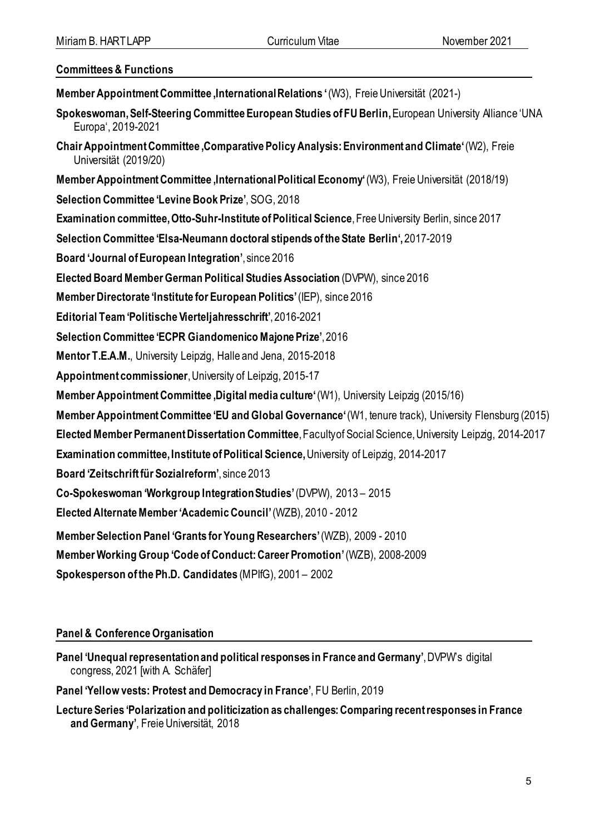#### **Committees & Functions**

- **Member Appointment Committee , International Relations**  $^{\prime}$  **(W3), Freie Universität (2021-)**
- **Spokeswoman, Self-Steering Committee European Studies of FU Berlin,** European University Alliance 'UNA Europa', 2019-2021
- **Chair Appointment Committee 'Comparative Policy Analysis: Environment and Climate'**(W2), Freie Universität (2019/20)
- **Member Appointment Committee , International Political Economy' (W3), Freie Universität (2018/19)**
- **Selection Committee 'Levine Book Prize'**, SOG, 2018
- **Examination committee, Otto-Suhr-Institute of Political Science**, Free University Berlin, since 2017
- **Selection Committee 'Elsa-Neumann doctoral stipends of the State Berlin',**2017-2019
- **Board 'Journal of European Integration'**, since 2016
- **Elected Board Member German Political Studies Association** (DVPW), since 2016
- **Member Directorate 'Institute for European Politics'**(IEP), since 2016
- **Editorial Team 'Politische Vierteljahresschrift'**, 2016-2021
- **Selection Committee 'ECPR Giandomenico Majone Prize'**, 2016
- **Mentor T.E.A.M.**, University Leipzig, Halle and Jena, 2015-2018
- **Appointment commissioner**, University of Leipzig, 2015-17
- **Member Appointment Committee Digital media culture**<sup>'</sup>(W1), University Leipzig (2015/16)
- **Member Appointment Committee 'EU and Global Governance'**(W1, tenure track), University Flensburg (2015)
- **Elected Member Permanent Dissertation Committee**, Faculty of Social Science, University Leipzig, 2014-2017
- **Examination committee, Institute of Political Science,** University of Leipzig, 2014-2017
- **Board 'Zeitschrift für Sozialreform'**, since 2013
- **Co-Spokeswoman 'Workgroup Integration Studies'**(DVPW), 2013 2015
- **Elected Alternate Member 'Academic Council'**(WZB), 2010 2012
- **Member Selection Panel 'Grants for Young Researchers'**(WZB), 2009 2010
- **Member Working Group 'Code of Conduct: Career Promotion'**(WZB), 2008-2009
- **Spokesperson of the Ph.D. Candidates** (MPIfG), 2001 2002

# **Panel & Conference Organisation**

- **Panel 'Unequal representation and political responses in France and Germany'**, DVPW's digital congress, 2021 [with A. Schäfer]
- **Panel 'Yellow vests: Protest and Democracy in France'**, FU Berlin, 2019
- **Lecture Series 'Polarization and politicization as challenges:Comparing recent responses in France and Germany'**, Freie Universität, 2018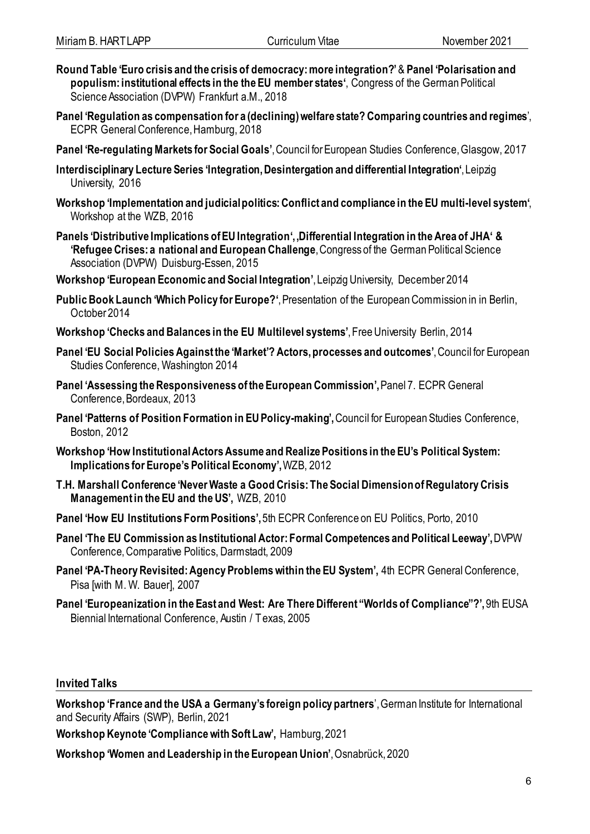- **Round Table 'Euro crisis and the crisis of democracy: more integration?'**& **Panel 'Polarisation and populism: institutional effects in the the EU member states'**, Congress of the German Political Science Association (DVPW) Frankfurt a.M., 2018
- **Panel 'Regulation as compensation for a (declining) welfare state? Comparing countries and regimes**', ECPR General Conference, Hamburg, 2018
- **Panel 'Re-regulating Markets for Social Goals'**, Council for European Studies Conference, Glasgow, 2017
- **Interdisciplinary Lecture Series 'Integration, Desintergation and differential Integration'**, Leipzig University, 2016
- **Workshop 'Implementation and judicial politics: Conflict and compliance in the EU multi-level system'**, Workshop at the WZB, 2016
- **Panels 'Distributive Implications of EU Integration', 'Differential Integration in the Area of JHA' & 'Refugee Crises: a national and European Challenge**, Congress of the German Political Science Association (DVPW) Duisburg-Essen, 2015
- **Workshop 'European Economic and Social Integration'**, Leipzig University, December 2014
- **Public Book Launch 'Which Policy for Europe?'**, Presentation of the European Commission in in Berlin, October 2014
- **Workshop 'Checks and Balances in the EU Multilevel systems'**, Free University Berlin, 2014
- **Panel 'EU Social Policies Against the 'Market'? Actors, processes and outcomes'**, Council for European Studies Conference, Washington 2014
- **Panel 'Assessing the Responsiveness of the European Commission',** Panel 7. ECPR General Conference, Bordeaux, 2013
- **Panel 'Patterns of Position Formation in EU Policy-making',**Council for European Studies Conference, Boston, 2012
- **Workshop 'How Institutional Actors Assume and Realize Positions in the EU's Political System: Implications for Europe's Political Economy',** WZB, 2012
- **T.H. Marshall Conference 'Never Waste a Good Crisis: The Social Dimension of Regulatory Crisis Management in the EU and the US',** WZB, 2010
- **Panel 'How EU Institutions Form Positions', 5th ECPR Conference on EU Politics, Porto, 2010**
- **Panel 'The EU Commission as Institutional Actor: Formal Competences and Political Leeway',**DVPW Conference, Comparative Politics, Darmstadt, 2009
- **Panel 'PA-Theory Revisited: Agency Problems within the EU System',** 4th ECPR General Conference, Pisa [with M. W. Bauer], 2007
- **Panel 'Europeanization in the East and West: Are There Different "Worlds of Compliance"?',**9th EUSA Biennial International Conference, Austin / Texas, 2005

### **Invited Talks**

**Workshop 'France and the USA a Germany's foreign policy partners**', German Institute for International and Security Affairs (SWP), Berlin, 2021

**Workshop Keynote 'Compliance with Soft Law',** Hamburg, 2021

**Workshop 'Women and Leadership in the European Union'**, Osnabrück, 2020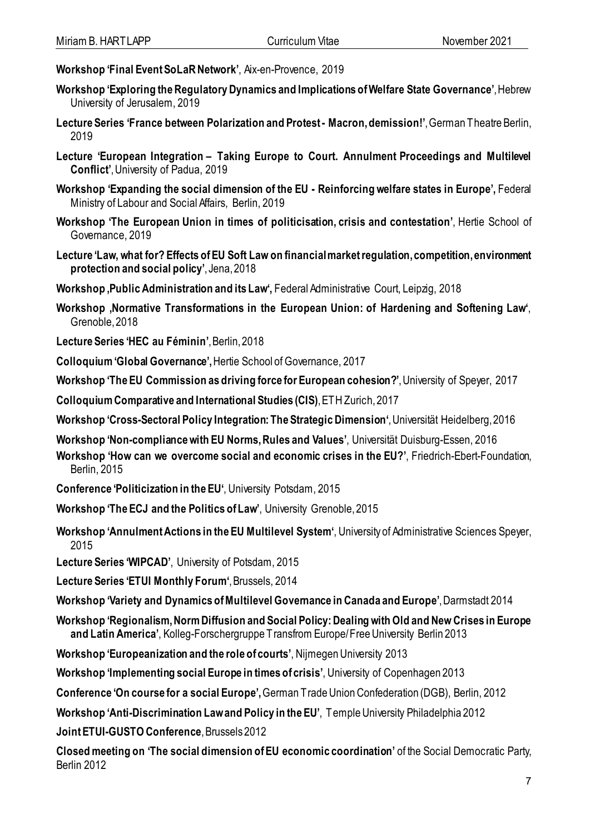- **Workshop 'Final Event SoLaR Network'**, Aix-en-Provence, 2019
- **Workshop 'Exploring the Regulatory Dynamics and Implications of Welfare State Governance'**, Hebrew University of Jerusalem, 2019
- **Lecture Series 'France between Polarization and Protest - Macron, demission!'**, German Theatre Berlin, 2019
- **Lecture 'European Integration – Taking Europe to Court. Annulment Proceedings and Multilevel Conflict'**, University of Padua, 2019
- **Workshop 'Expanding the social dimension of the EU - Reinforcing welfare states in Europe',** Federal Ministry of Labour and Social Affairs, Berlin, 2019
- **Workshop 'The European Union in times of politicisation, crisis and contestation'**, Hertie School of Governance, 2019
- **Lecture 'Law, what for? Effects of EU Soft Law on financial market regulation, competition, environment protection and social policy'**, Jena, 2018
- Workshop, Public Administration and its Law', Federal Administrative Court, Leipzig, 2018
- Workshop , Normative Transformations in the European Union: of Hardening and Softening Law<sup>.</sup>, Grenoble, 2018
- **Lecture Series 'HEC au Féminin'**, Berlin, 2018
- **Colloquium'Global Governance',**Hertie School of Governance, 2017
- **Workshop 'The EU Commission as driving force for European cohesion?'**, University of Speyer, 2017
- **Colloquium Comparative and International Studies (CIS)**, ETH Zurich, 2017
- **Workshop 'Cross-Sectoral Policy Integration: The Strategic Dimension'**, Universität Heidelberg, 2016
- **Workshop 'Non-compliance with EU Norms, Rules and Values'**, Universität Duisburg-Essen, 2016
- **Workshop 'How can we overcome social and economic crises in the EU?'**, Friedrich-Ebert-Foundation, Berlin, 2015
- **Conference 'Politicization in the EU'**, University Potsdam, 2015
- **Workshop 'The ECJ and the Politics of Law'**, University Grenoble, 2015
- **Workshop 'Annulment Actions in the EU Multilevel System'**, University of Administrative Sciences Speyer, 2015
- **Lecture Series 'WIPCAD'**, University of Potsdam, 2015
- **Lecture Series 'ETUI Monthly Forum'**, Brussels, 2014
- **Workshop 'Variety and Dynamics of Multilevel Governance in Canada and Europe'**, Darmstadt 2014
- **Workshop 'Regionalism, Norm Diffusion and Social Policy: Dealing with Old and New Crises in Europe and Latin America'**, Kolleg-Forschergruppe Transfrom Europe/ Free University Berlin 2013
- **Workshop 'Europeanization and the role of courts'**, Nijmegen University 2013
- **Workshop 'Implementing social Europe in times of crisis'**, University of Copenhagen 2013
- **Conference 'On course for a social Europe',** German Trade Union Confederation (DGB), Berlin, 2012
- **Workshop 'Anti-Discrimination Law and Policy in the EU'**, Temple University Philadelphia 2012
- **Joint ETUI-GUSTO Conference**, Brussels 2012
- **Closed meeting on 'The social dimension of EU economic coordination'** of the Social Democratic Party, Berlin 2012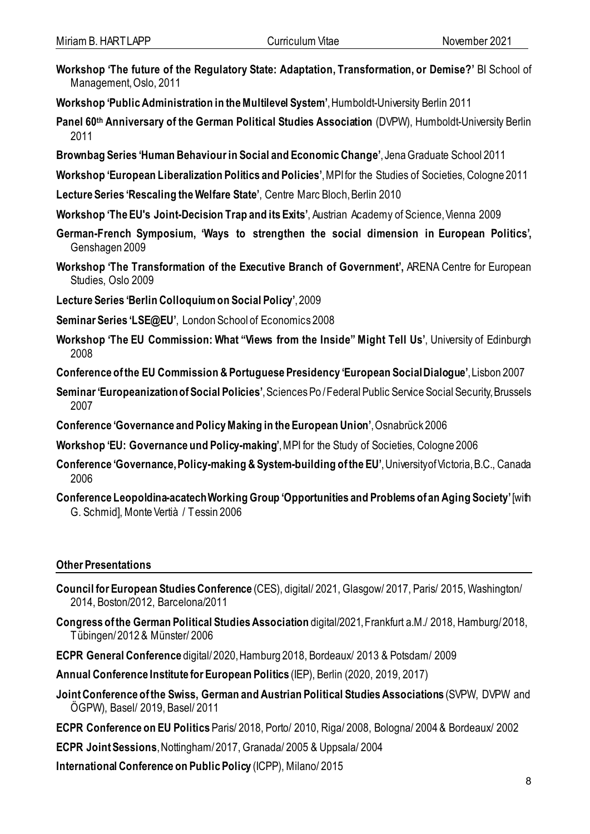- **Workshop 'The future of the Regulatory State: Adaptation, Transformation, or Demise?'** BI School of Management, Oslo, 2011
- **Workshop 'Public Administration in the Multilevel System'**, Humboldt-University Berlin 2011
- **Panel 60th Anniversary of the German Political Studies Association** (DVPW), Humboldt-University Berlin 2011
- **Brownbag Series 'Human Behaviour in Social and Economic Change'**, Jena Graduate School 2011
- **Workshop 'European Liberalization Politics and Policies'**, MPIfor the Studies of Societies, Cologne 2011
- **Lecture Series 'Rescaling the Welfare State'**, Centre Marc Bloch, Berlin 2010
- **Workshop 'The EU's Joint-Decision Trap and its Exits'**, Austrian Academy of Science, Vienna 2009
- **German-French Symposium, 'Ways to strengthen the social dimension in European Politics',** Genshagen 2009
- **Workshop 'The Transformation of the Executive Branch of Government',** ARENA Centre for European Studies, Oslo 2009
- **Lecture Series 'Berlin Colloquium on Social Policy'**, 2009
- **Seminar Series 'LSE@EU'**, London School of Economics 2008
- **Workshop 'The EU Commission: What "Views from the Inside" Might Tell Us'**, University of Edinburgh 2008
- **Conference of the EU Commission & Portuguese Presidency 'European Social Dialogue'**, Lisbon 2007
- **Seminar 'Europeanization of Social Policies'**, Sciences Po / Federal Public Service Social Security, Brussels 2007
- **Conference 'Governance and Policy Making in the European Union'**, Osnabrück 2006
- **Workshop 'EU: Governance und Policy-making'**, MPI for the Study of Societies, Cologne 2006
- **Conference 'Governance, Policy-making & System-building of the EU'**, University of Victoria, B.C., Canada 2006
- **Conference Leopoldina-acatech Working Group 'Opportunities and Problems of an Aging Society'**[with G. Schmid], Monte Vertià / Tessin 2006

# **Other Presentations**

- **Council for European Studies Conference** (CES), digital/ 2021, Glasgow/ 2017, Paris/ 2015, Washington/ 2014, Boston/2012, Barcelona/2011
- **Congress of the German Political Studies Association** digital/2021, Frankfurt a.M./ 2018, Hamburg/2018, Tübingen/ 2012 & Münster/ 2006
- **ECPR General Conference** digital/ 2020, Hamburg 2018, Bordeaux/ 2013 & Potsdam/ 2009
- **Annual Conference Institute for European Politics** (IEP), Berlin (2020, 2019, 2017)
- **Joint Conference of the Swiss, German and Austrian Political Studies Associations** (SVPW, DVPW and ÖGPW), Basel/ 2019, Basel/ 2011
- **ECPR Conference on EU Politics** Paris/ 2018, Porto/ 2010, Riga/ 2008, Bologna/ 2004 & Bordeaux/ 2002
- **ECPR Joint Sessions**, Nottingham/ 2017, Granada/ 2005 & Uppsala/ 2004
- **International Conference on Public Policy** (ICPP), Milano/ 2015